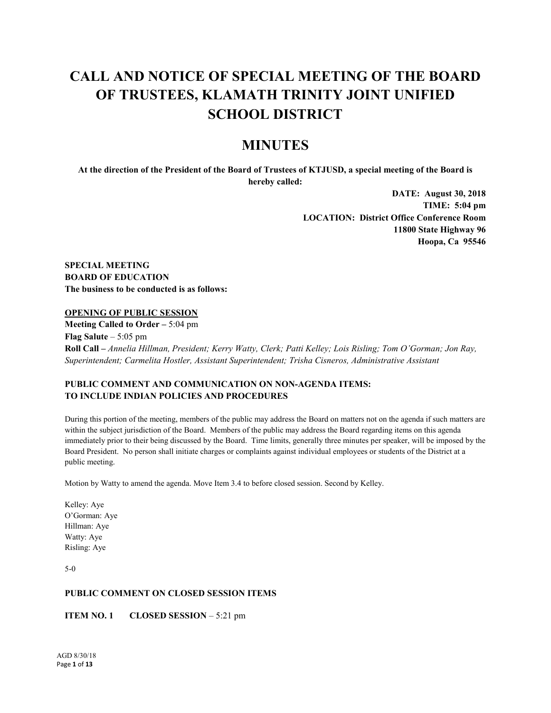# **CALL AND NOTICE OF SPECIAL MEETING OF THE BOARD OF TRUSTEES, KLAMATH TRINITY JOINT UNIFIED SCHOOL DISTRICT**

# **MINUTES**

**At the direction of the President of the Board of Trustees of KTJUSD, a special meeting of the Board is hereby called:**

> **DATE: August 30, 2018 TIME: 5:04 pm LOCATION: District Office Conference Room 11800 State Highway 96 Hoopa, Ca 95546**

**SPECIAL MEETING BOARD OF EDUCATION The business to be conducted is as follows:**

# **OPENING OF PUBLIC SESSION**

**Meeting Called to Order –** 5:04 pm **Flag Salute** – 5:05 pm **Roll Call –** *Annelia Hillman, President; Kerry Watty, Clerk; Patti Kelley; Lois Risling; Tom O'Gorman; Jon Ray, Superintendent; Carmelita Hostler, Assistant Superintendent; Trisha Cisneros, Administrative Assistant*

# **PUBLIC COMMENT AND COMMUNICATION ON NON-AGENDA ITEMS: TO INCLUDE INDIAN POLICIES AND PROCEDURES**

During this portion of the meeting, members of the public may address the Board on matters not on the agenda if such matters are within the subject jurisdiction of the Board. Members of the public may address the Board regarding items on this agenda immediately prior to their being discussed by the Board. Time limits, generally three minutes per speaker, will be imposed by the Board President. No person shall initiate charges or complaints against individual employees or students of the District at a public meeting.

Motion by Watty to amend the agenda. Move Item 3.4 to before closed session. Second by Kelley.

Kelley: Aye O'Gorman: Aye Hillman: Aye Watty: Aye Risling: Aye

5-0

# **PUBLIC COMMENT ON CLOSED SESSION ITEMS**

**ITEM NO. 1 CLOSED SESSION – 5:21 pm**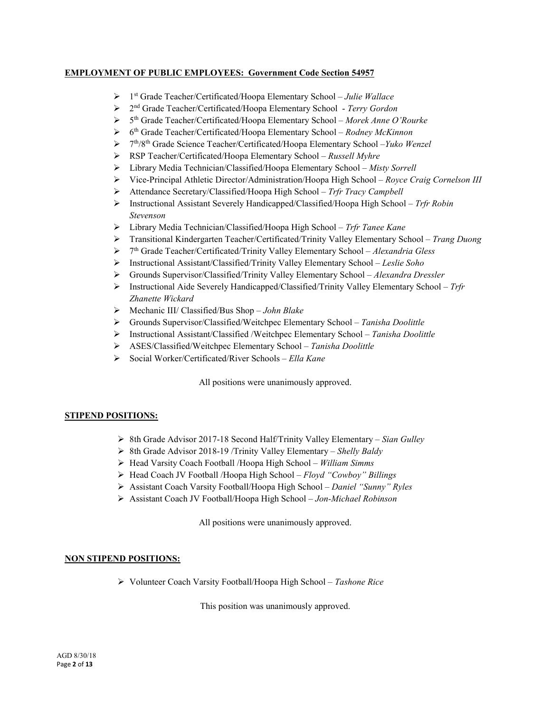# **EMPLOYMENT OF PUBLIC EMPLOYEES: Government Code Section 54957**

- 1st Grade Teacher/Certificated/Hoopa Elementary School *Julie Wallace*
- 2nd Grade Teacher/Certificated/Hoopa Elementary School *Terry Gordon*
- 5th Grade Teacher/Certificated/Hoopa Elementary School *Morek Anne O'Rourke*
- 6th Grade Teacher/Certificated/Hoopa Elementary School *Rodney McKinnon*
- 7th/8th Grade Science Teacher/Certificated/Hoopa Elementary School –*Yuko Wenzel*
- RSP Teacher/Certificated/Hoopa Elementary School *Russell Myhre*
- Library Media Technician/Classified/Hoopa Elementary School *Misty Sorrell*
- Vice-Principal Athletic Director/Administration/Hoopa High School *Royce Craig Cornelson III*
- Attendance Secretary/Classified/Hoopa High School *Trfr Tracy Campbell*
- Instructional Assistant Severely Handicapped/Classified/Hoopa High School *Trfr Robin Stevenson*
- Library Media Technician/Classified/Hoopa High School *Trfr Tanee Kane*
- Transitional Kindergarten Teacher/Certificated/Trinity Valley Elementary School *Trang Duong*
- 7th Grade Teacher/Certificated/Trinity Valley Elementary School *Alexandria Gless*
- Instructional Assistant/Classified/Trinity Valley Elementary School *Leslie Soho*
- Grounds Supervisor/Classified/Trinity Valley Elementary School *Alexandra Dressler*
- Instructional Aide Severely Handicapped/Classified/Trinity Valley Elementary School *Trfr Zhanette Wickard*
- Mechanic III/ Classified/Bus Shop *John Blake*
- Grounds Supervisor/Classified/Weitchpec Elementary School *Tanisha Doolittle*
- Instructional Assistant/Classified /Weitchpec Elementary School *Tanisha Doolittle*
- ASES/Classified/Weitchpec Elementary School *Tanisha Doolittle*
- Social Worker/Certificated/River Schools *Ella Kane*

All positions were unanimously approved.

# **STIPEND POSITIONS:**

- 8th Grade Advisor 2017-18 Second Half/Trinity Valley Elementary *Sian Gulley*
- 8th Grade Advisor 2018-19 /Trinity Valley Elementary *Shelly Baldy*
- Head Varsity Coach Football /Hoopa High School *William Simms*
- Head Coach JV Football /Hoopa High School *Floyd "Cowboy" Billings*
- Assistant Coach Varsity Football/Hoopa High School *Daniel "Sunny" Ryles*
- Assistant Coach JV Football/Hoopa High School *Jon-Michael Robinson*

All positions were unanimously approved.

# **NON STIPEND POSITIONS:**

Volunteer Coach Varsity Football/Hoopa High School – *Tashone Rice*

This position was unanimously approved.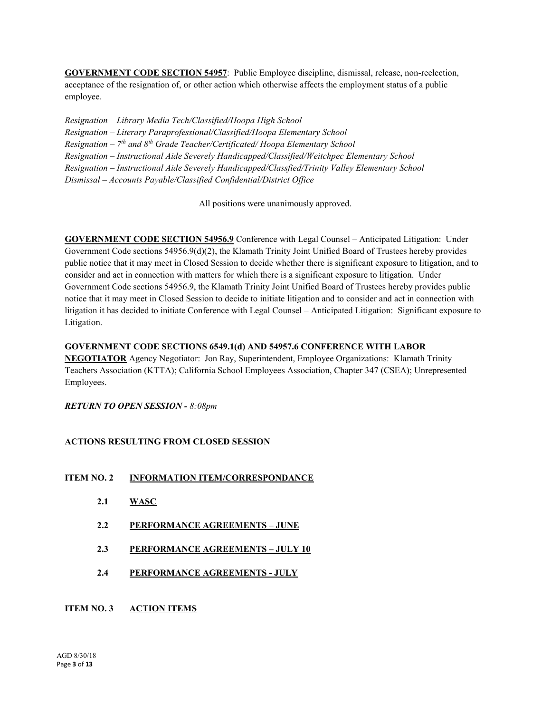**GOVERNMENT CODE SECTION 54957**: Public Employee discipline, dismissal, release, non-reelection, acceptance of the resignation of, or other action which otherwise affects the employment status of a public employee.

*Resignation – Library Media Tech/Classified/Hoopa High School Resignation – Literary Paraprofessional/Classified/Hoopa Elementary School Resignation – 7th and 8th Grade Teacher/Certificated/ Hoopa Elementary School Resignation – Instructional Aide Severely Handicapped/Classified/Weitchpec Elementary School Resignation – Instructional Aide Severely Handicapped/Classfied/Trinity Valley Elementary School Dismissal – Accounts Payable/Classified Confidential/District Office*

All positions were unanimously approved.

**GOVERNMENT CODE SECTION 54956.9** Conference with Legal Counsel – Anticipated Litigation: Under Government Code sections 54956.9(d)(2), the Klamath Trinity Joint Unified Board of Trustees hereby provides public notice that it may meet in Closed Session to decide whether there is significant exposure to litigation, and to consider and act in connection with matters for which there is a significant exposure to litigation. Under Government Code sections 54956.9, the Klamath Trinity Joint Unified Board of Trustees hereby provides public notice that it may meet in Closed Session to decide to initiate litigation and to consider and act in connection with litigation it has decided to initiate Conference with Legal Counsel – Anticipated Litigation: Significant exposure to Litigation.

# **GOVERNMENT CODE SECTIONS 6549.1(d) AND 54957.6 CONFERENCE WITH LABOR**

**NEGOTIATOR** Agency Negotiator: Jon Ray, Superintendent, Employee Organizations: Klamath Trinity Teachers Association (KTTA); California School Employees Association, Chapter 347 (CSEA); Unrepresented Employees.

# *RETURN TO OPEN SESSION - 8:08pm*

# **ACTIONS RESULTING FROM CLOSED SESSION**

- **ITEM NO. 2 INFORMATION ITEM/CORRESPONDANCE**
	- **2.1 WASC**
	- **2.2 PERFORMANCE AGREEMENTS – JUNE**
	- **2.3 PERFORMANCE AGREEMENTS – JULY 10**
	- **2.4 PERFORMANCE AGREEMENTS - JULY**
- **ITEM NO. 3 ACTION ITEMS**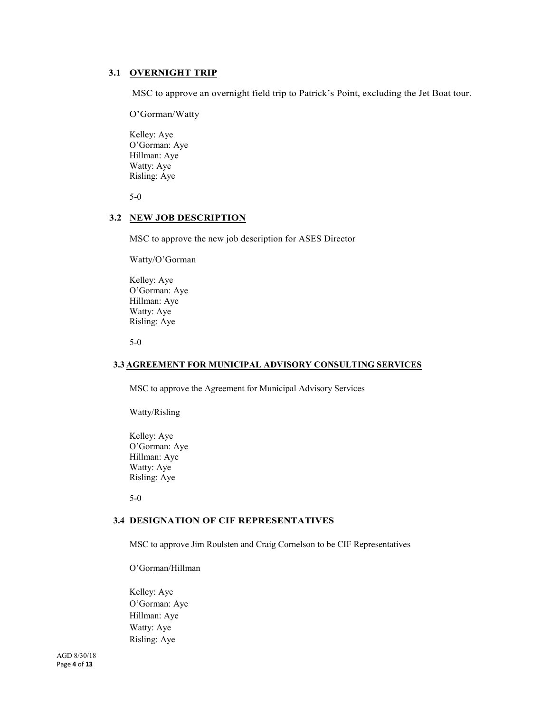# **3.1 OVERNIGHT TRIP**

MSC to approve an overnight field trip to Patrick's Point, excluding the Jet Boat tour.

O'Gorman/Watty

Kelley: Aye O'Gorman: Aye Hillman: Aye Watty: Aye Risling: Aye

5-0

# **3.2 NEW JOB DESCRIPTION**

MSC to approve the new job description for ASES Director

Watty/O'Gorman

Kelley: Aye O'Gorman: Aye Hillman: Aye Watty: Aye Risling: Aye

5-0

# **3.3 AGREEMENT FOR MUNICIPAL ADVISORY CONSULTING SERVICES**

MSC to approve the Agreement for Municipal Advisory Services

Watty/Risling

Kelley: Aye O'Gorman: Aye Hillman: Aye Watty: Aye Risling: Aye

5-0

# **3.4 DESIGNATION OF CIF REPRESENTATIVES**

MSC to approve Jim Roulsten and Craig Cornelson to be CIF Representatives

O'Gorman/Hillman

Kelley: Aye O'Gorman: Aye Hillman: Aye Watty: Aye Risling: Aye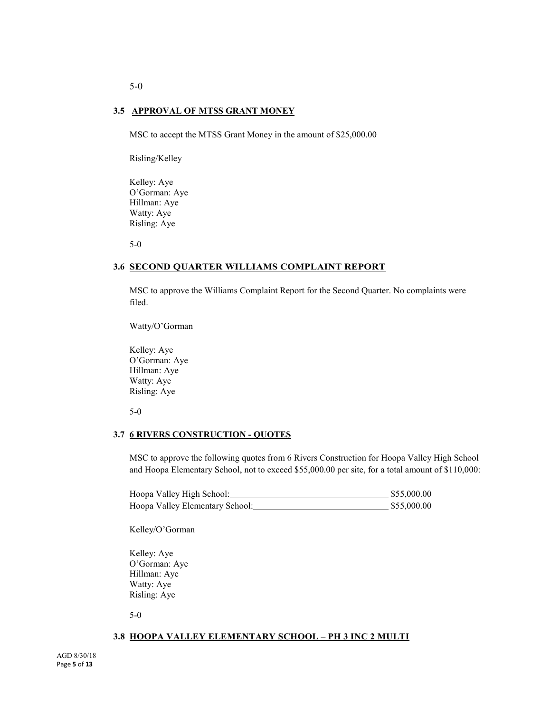# **3.5 APPROVAL OF MTSS GRANT MONEY**

MSC to accept the MTSS Grant Money in the amount of \$25,000.00

Risling/Kelley

Kelley: Aye O'Gorman: Aye Hillman: Aye Watty: Aye Risling: Aye

5-0

# **3.6 SECOND QUARTER WILLIAMS COMPLAINT REPORT**

MSC to approve the Williams Complaint Report for the Second Quarter. No complaints were filed.

Watty/O'Gorman

Kelley: Aye O'Gorman: Aye Hillman: Aye Watty: Aye Risling: Aye

5-0

## **3.7 6 RIVERS CONSTRUCTION - QUOTES**

MSC to approve the following quotes from 6 Rivers Construction for Hoopa Valley High School and Hoopa Elementary School, not to exceed \$55,000.00 per site, for a total amount of \$110,000:

| Hoopa Valley High School:       | \$55,000.00 |
|---------------------------------|-------------|
| Hoopa Valley Elementary School: | \$55,000.00 |

Kelley/O'Gorman

Kelley: Aye O'Gorman: Aye Hillman: Aye Watty: Aye Risling: Aye

5-0

## **3.8 HOOPA VALLEY ELEMENTARY SCHOOL – PH 3 INC 2 MULTI**

5-0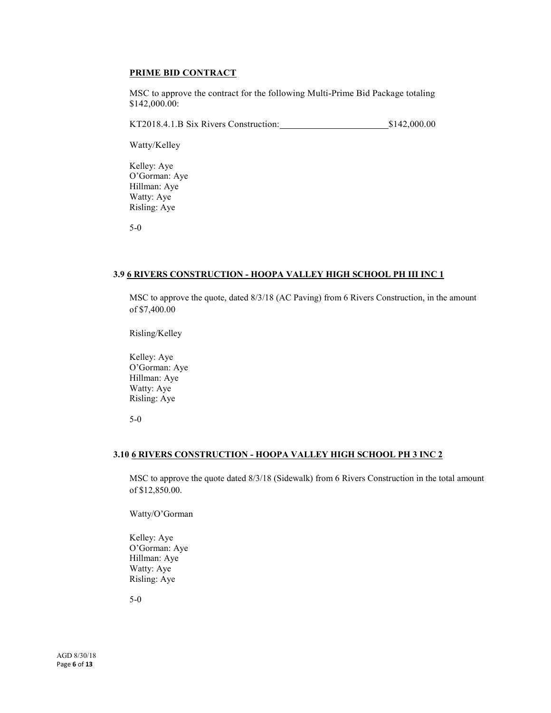# **PRIME BID CONTRACT**

MSC to approve the contract for the following Multi-Prime Bid Package totaling \$142,000.00:

KT2018.4.1.B Six Rivers Construction: \$142,000.00

Watty/Kelley

Kelley: Aye O'Gorman: Aye Hillman: Aye Watty: Aye Risling: Aye

5-0

# **3.9 6 RIVERS CONSTRUCTION - HOOPA VALLEY HIGH SCHOOL PH III INC 1**

MSC to approve the quote, dated 8/3/18 (AC Paving) from 6 Rivers Construction, in the amount of \$7,400.00

Risling/Kelley

Kelley: Aye O'Gorman: Aye Hillman: Aye Watty: Aye Risling: Aye

5-0

# **3.10 6 RIVERS CONSTRUCTION - HOOPA VALLEY HIGH SCHOOL PH 3 INC 2**

MSC to approve the quote dated 8/3/18 (Sidewalk) from 6 Rivers Construction in the total amount of \$12,850.00.

Watty/O'Gorman

Kelley: Aye O'Gorman: Aye Hillman: Aye Watty: Aye Risling: Aye

5-0

AGD 8/30/18 Page **6** of **13**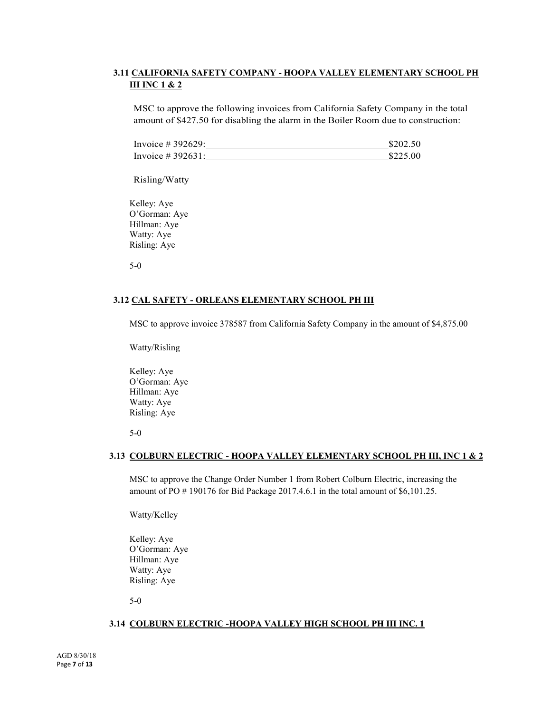# **3.11 CALIFORNIA SAFETY COMPANY - HOOPA VALLEY ELEMENTARY SCHOOL PH III INC 1 & 2**

MSC to approve the following invoices from California Safety Company in the total amount of \$427.50 for disabling the alarm in the Boiler Room due to construction:

| Invoice # 392629:    | \$202.50 |
|----------------------|----------|
| Invoice $\#$ 392631: | \$225.00 |

Risling/Watty

Kelley: Aye O'Gorman: Aye Hillman: Aye Watty: Aye Risling: Aye

5-0

# **3.12 CAL SAFETY - ORLEANS ELEMENTARY SCHOOL PH III**

MSC to approve invoice 378587 from California Safety Company in the amount of \$4,875.00

Watty/Risling

Kelley: Aye O'Gorman: Aye Hillman: Aye Watty: Aye Risling: Aye

5-0

# **3.13 COLBURN ELECTRIC - HOOPA VALLEY ELEMENTARY SCHOOL PH III, INC 1 & 2**

MSC to approve the Change Order Number 1 from Robert Colburn Electric, increasing the amount of PO # 190176 for Bid Package 2017.4.6.1 in the total amount of \$6,101.25.

Watty/Kelley

Kelley: Aye O'Gorman: Aye Hillman: Aye Watty: Aye Risling: Aye

5-0

# **3.14 COLBURN ELECTRIC -HOOPA VALLEY HIGH SCHOOL PH III INC. 1**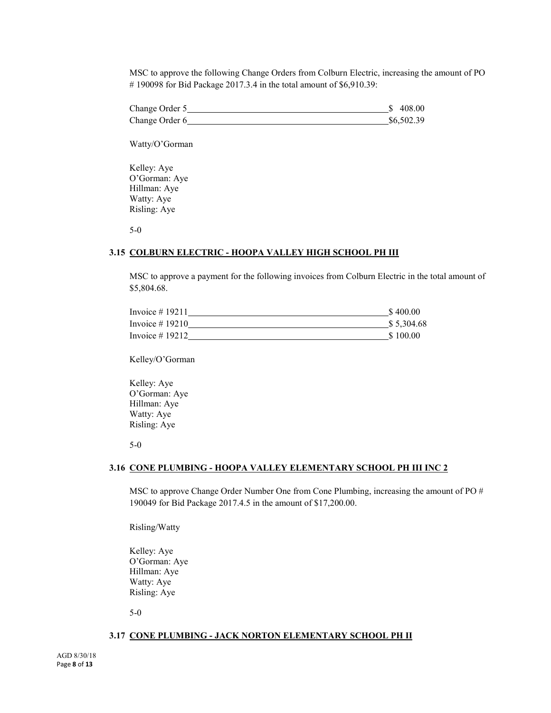MSC to approve the following Change Orders from Colburn Electric, increasing the amount of PO # 190098 for Bid Package 2017.3.4 in the total amount of \$6,910.39:

| Change Order 5 | \$408.00   |
|----------------|------------|
| Change Order 6 | \$6,502.39 |

Watty/O'Gorman

Kelley: Aye O'Gorman: Aye Hillman: Aye Watty: Aye Risling: Aye

5-0

# **3.15 COLBURN ELECTRIC - HOOPA VALLEY HIGH SCHOOL PH III**

MSC to approve a payment for the following invoices from Colburn Electric in the total amount of \$5,804.68.

| Invoice $# 19211$ | \$400.00   |
|-------------------|------------|
| Invoice $#19210$  | \$5,304.68 |
| Invoice $#19212$  | \$100.00   |

Kelley/O'Gorman

Kelley: Aye O'Gorman: Aye Hillman: Aye Watty: Aye Risling: Aye

5-0

# **3.16 CONE PLUMBING - HOOPA VALLEY ELEMENTARY SCHOOL PH III INC 2**

MSC to approve Change Order Number One from Cone Plumbing, increasing the amount of PO # 190049 for Bid Package 2017.4.5 in the amount of \$17,200.00.

Risling/Watty

Kelley: Aye O'Gorman: Aye Hillman: Aye Watty: Aye Risling: Aye

5-0

#### **3.17 CONE PLUMBING - JACK NORTON ELEMENTARY SCHOOL PH II**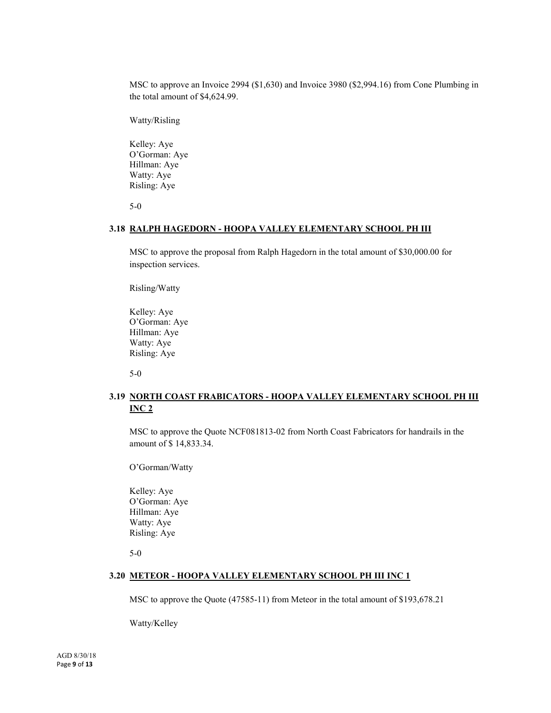MSC to approve an Invoice 2994 (\$1,630) and Invoice 3980 (\$2,994.16) from Cone Plumbing in the total amount of \$4,624.99.

Watty/Risling

Kelley: Aye O'Gorman: Aye Hillman: Aye Watty: Aye Risling: Aye

5-0

#### **3.18 RALPH HAGEDORN - HOOPA VALLEY ELEMENTARY SCHOOL PH III**

MSC to approve the proposal from Ralph Hagedorn in the total amount of \$30,000.00 for inspection services.

Risling/Watty

Kelley: Aye O'Gorman: Aye Hillman: Aye Watty: Aye Risling: Aye

5-0

# **3.19 NORTH COAST FRABICATORS - HOOPA VALLEY ELEMENTARY SCHOOL PH III INC 2**

MSC to approve the Quote NCF081813-02 from North Coast Fabricators for handrails in the amount of \$ 14,833.34.

O'Gorman/Watty

Kelley: Aye O'Gorman: Aye Hillman: Aye Watty: Aye Risling: Aye

5-0

# **3.20 METEOR - HOOPA VALLEY ELEMENTARY SCHOOL PH III INC 1**

MSC to approve the Quote (47585-11) from Meteor in the total amount of \$193,678.21

Watty/Kelley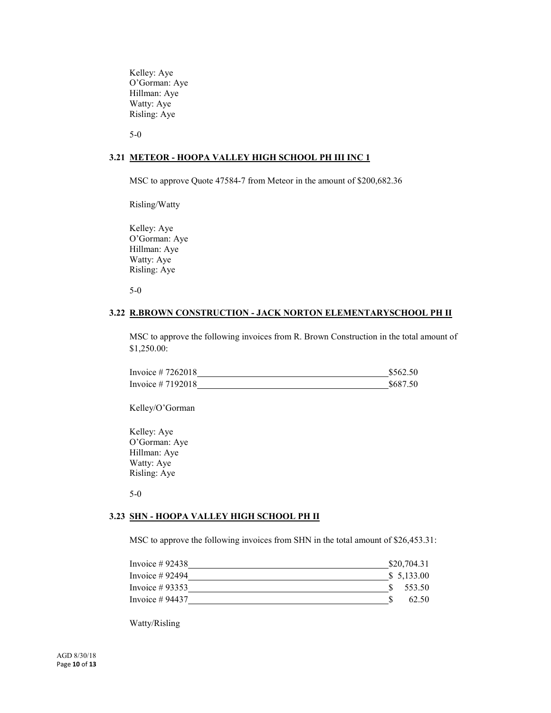Kelley: Aye O'Gorman: Aye Hillman: Aye Watty: Aye Risling: Aye

5-0

## **3.21 METEOR - HOOPA VALLEY HIGH SCHOOL PH III INC 1**

MSC to approve Quote 47584-7 from Meteor in the amount of \$200,682.36

Risling/Watty

Kelley: Aye O'Gorman: Aye Hillman: Aye Watty: Aye Risling: Aye

5-0

#### **3.22 R.BROWN CONSTRUCTION - JACK NORTON ELEMENTARYSCHOOL PH II**

MSC to approve the following invoices from R. Brown Construction in the total amount of \$1,250.00:

| Invoice $\#$ 7262018 | \$562.50 |
|----------------------|----------|
| Invoice $#7192018$   | \$687.50 |

Kelley/O'Gorman

Kelley: Aye O'Gorman: Aye Hillman: Aye Watty: Aye Risling: Aye

5-0

# **3.23 SHN - HOOPA VALLEY HIGH SCHOOL PH II**

MSC to approve the following invoices from SHN in the total amount of \$26,453.31:

| Invoice $\#$ 92438 | \$20,704.31 |
|--------------------|-------------|
| Invoice $\#$ 92494 | \$ 5,133.00 |
| Invoice $#93353$   | 553.50      |
| Invoice $# 94437$  | 62.50       |

Watty/Risling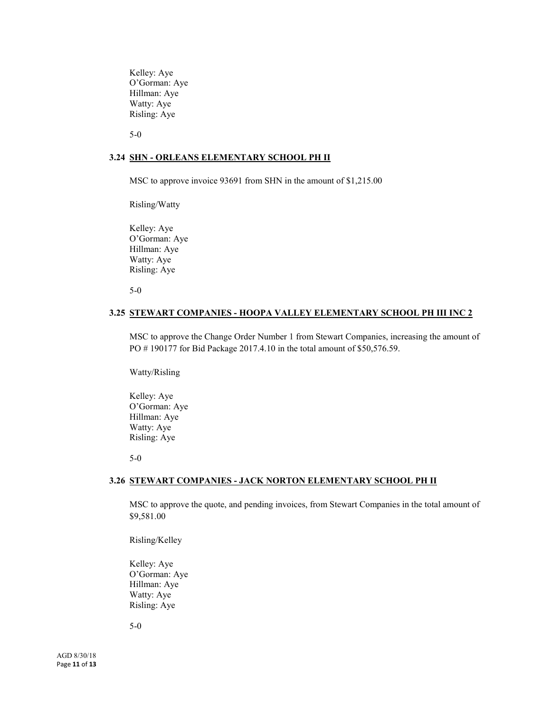Kelley: Aye O'Gorman: Aye Hillman: Aye Watty: Aye Risling: Aye

5-0

#### **3.24 SHN - ORLEANS ELEMENTARY SCHOOL PH II**

MSC to approve invoice 93691 from SHN in the amount of \$1,215.00

Risling/Watty

Kelley: Aye O'Gorman: Aye Hillman: Aye Watty: Aye Risling: Aye

5-0

#### **3.25 STEWART COMPANIES - HOOPA VALLEY ELEMENTARY SCHOOL PH III INC 2**

MSC to approve the Change Order Number 1 from Stewart Companies, increasing the amount of PO # 190177 for Bid Package 2017.4.10 in the total amount of \$50,576.59.

Watty/Risling

Kelley: Aye O'Gorman: Aye Hillman: Aye Watty: Aye Risling: Aye

5-0

#### **3.26 STEWART COMPANIES - JACK NORTON ELEMENTARY SCHOOL PH II**

MSC to approve the quote, and pending invoices, from Stewart Companies in the total amount of \$9,581.00

Risling/Kelley

Kelley: Aye O'Gorman: Aye Hillman: Aye Watty: Aye Risling: Aye

5-0

AGD 8/30/18 Page **11** of **13**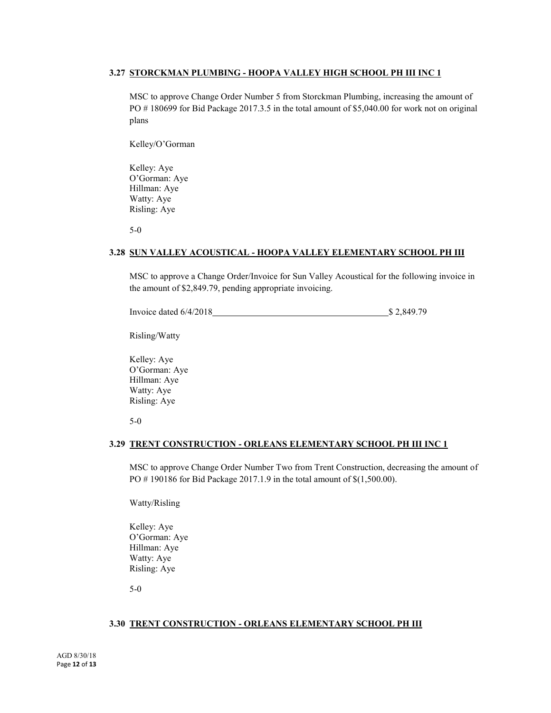# **3.27 STORCKMAN PLUMBING - HOOPA VALLEY HIGH SCHOOL PH III INC 1**

MSC to approve Change Order Number 5 from Storckman Plumbing, increasing the amount of PO #180699 for Bid Package 2017.3.5 in the total amount of \$5,040.00 for work not on original plans

Kelley/O'Gorman

Kelley: Aye O'Gorman: Aye Hillman: Aye Watty: Aye Risling: Aye

5-0

# **3.28 SUN VALLEY ACOUSTICAL - HOOPA VALLEY ELEMENTARY SCHOOL PH III**

MSC to approve a Change Order/Invoice for Sun Valley Acoustical for the following invoice in the amount of \$2,849.79, pending appropriate invoicing.

Invoice dated 6/4/2018 \$ 2,849.79

Risling/Watty

Kelley: Aye O'Gorman: Aye Hillman: Aye Watty: Aye Risling: Aye

5-0

## **3.29 TRENT CONSTRUCTION - ORLEANS ELEMENTARY SCHOOL PH III INC 1**

MSC to approve Change Order Number Two from Trent Construction, decreasing the amount of PO # 190186 for Bid Package 2017.1.9 in the total amount of \$(1,500.00).

Watty/Risling

Kelley: Aye O'Gorman: Aye Hillman: Aye Watty: Aye Risling: Aye

5-0

# **3.30 TRENT CONSTRUCTION - ORLEANS ELEMENTARY SCHOOL PH III**